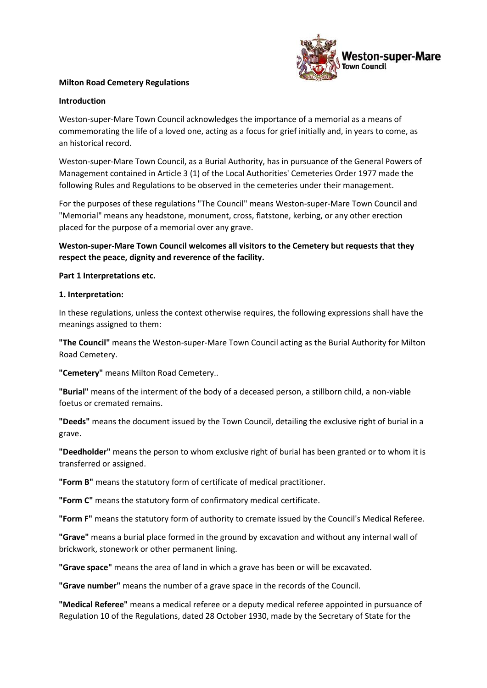

## **Milton Road Cemetery Regulations**

#### **Introduction**

Weston-super-Mare Town Council acknowledges the importance of a memorial as a means of commemorating the life of a loved one, acting as a focus for grief initially and, in years to come, as an historical record.

Weston-super-Mare Town Council, as a Burial Authority, has in pursuance of the General Powers of Management contained in Article 3 (1) of the Local Authorities' Cemeteries Order 1977 made the following Rules and Regulations to be observed in the cemeteries under their management.

For the purposes of these regulations "The Council" means Weston-super-Mare Town Council and "Memorial" means any headstone, monument, cross, flatstone, kerbing, or any other erection placed for the purpose of a memorial over any grave.

**Weston-super-Mare Town Council welcomes all visitors to the Cemetery but requests that they respect the peace, dignity and reverence of the facility.**

### **Part 1 Interpretations etc.**

### **1. Interpretation:**

In these regulations, unless the context otherwise requires, the following expressions shall have the meanings assigned to them:

**"The Council"** means the Weston-super-Mare Town Council acting as the Burial Authority for Milton Road Cemetery.

**"Cemetery"** means Milton Road Cemetery..

**"Burial"** means of the interment of the body of a deceased person, a stillborn child, a non-viable foetus or cremated remains.

**"Deeds"** means the document issued by the Town Council, detailing the exclusive right of burial in a grave.

**"Deedholder"** means the person to whom exclusive right of burial has been granted or to whom it is transferred or assigned.

**"Form B"** means the statutory form of certificate of medical practitioner.

**"Form C"** means the statutory form of confirmatory medical certificate.

**"Form F"** means the statutory form of authority to cremate issued by the Council's Medical Referee.

**"Grave"** means a burial place formed in the ground by excavation and without any internal wall of brickwork, stonework or other permanent lining.

**"Grave space"** means the area of land in which a grave has been or will be excavated.

**"Grave number"** means the number of a grave space in the records of the Council.

**"Medical Referee"** means a medical referee or a deputy medical referee appointed in pursuance of Regulation 10 of the Regulations, dated 28 October 1930, made by the Secretary of State for the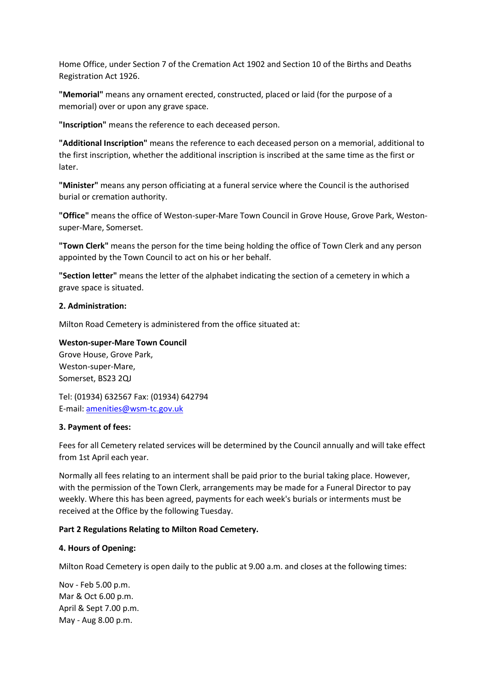Home Office, under Section 7 of the Cremation Act 1902 and Section 10 of the Births and Deaths Registration Act 1926.

**"Memorial"** means any ornament erected, constructed, placed or laid (for the purpose of a memorial) over or upon any grave space.

**"Inscription"** means the reference to each deceased person.

**"Additional Inscription"** means the reference to each deceased person on a memorial, additional to the first inscription, whether the additional inscription is inscribed at the same time as the first or later.

**"Minister"** means any person officiating at a funeral service where the Council is the authorised burial or cremation authority.

**"Office"** means the office of Weston-super-Mare Town Council in Grove House, Grove Park, Westonsuper-Mare, Somerset.

**"Town Clerk"** means the person for the time being holding the office of Town Clerk and any person appointed by the Town Council to act on his or her behalf.

**"Section letter"** means the letter of the alphabet indicating the section of a cemetery in which a grave space is situated.

### **2. Administration:**

Milton Road Cemetery is administered from the office situated at:

### **Weston-super-Mare Town Council**

Grove House, Grove Park, Weston-super-Mare, Somerset, BS23 2QJ

Tel: (01934) 632567 Fax: (01934) 642794 E-mail: [amenities@wsm-tc.gov.uk](mailto:amenities@wsm-tc.gov.uk)

#### **3. Payment of fees:**

Fees for all Cemetery related services will be determined by the Council annually and will take effect from 1st April each year.

Normally all fees relating to an interment shall be paid prior to the burial taking place. However, with the permission of the Town Clerk, arrangements may be made for a Funeral Director to pay weekly. Where this has been agreed, payments for each week's burials or interments must be received at the Office by the following Tuesday.

## **Part 2 Regulations Relating to Milton Road Cemetery.**

## **4. Hours of Opening:**

Milton Road Cemetery is open daily to the public at 9.00 a.m. and closes at the following times:

Nov - Feb 5.00 p.m. Mar & Oct 6.00 p.m. April & Sept 7.00 p.m. May - Aug 8.00 p.m.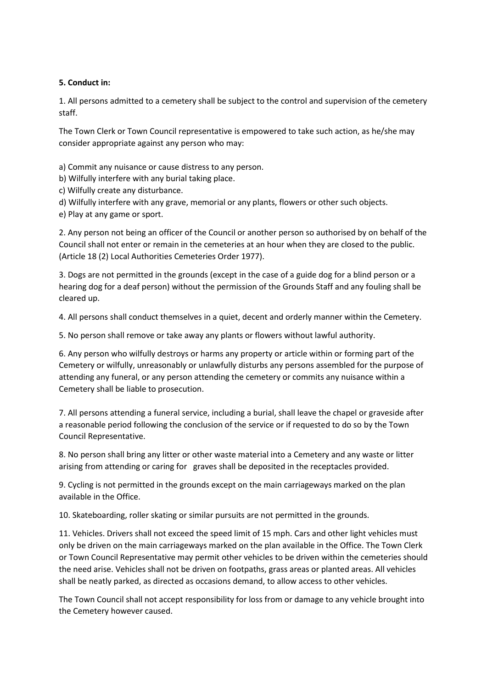## **5. Conduct in:**

1. All persons admitted to a cemetery shall be subject to the control and supervision of the cemetery staff.

The Town Clerk or Town Council representative is empowered to take such action, as he/she may consider appropriate against any person who may:

a) Commit any nuisance or cause distress to any person.

b) Wilfully interfere with any burial taking place.

c) Wilfully create any disturbance.

d) Wilfully interfere with any grave, memorial or any plants, flowers or other such objects.

e) Play at any game or sport.

2. Any person not being an officer of the Council or another person so authorised by on behalf of the Council shall not enter or remain in the cemeteries at an hour when they are closed to the public. (Article 18 (2) Local Authorities Cemeteries Order 1977).

3. Dogs are not permitted in the grounds (except in the case of a guide dog for a blind person or a hearing dog for a deaf person) without the permission of the Grounds Staff and any fouling shall be cleared up.

4. All persons shall conduct themselves in a quiet, decent and orderly manner within the Cemetery.

5. No person shall remove or take away any plants or flowers without lawful authority.

6. Any person who wilfully destroys or harms any property or article within or forming part of the Cemetery or wilfully, unreasonably or unlawfully disturbs any persons assembled for the purpose of attending any funeral, or any person attending the cemetery or commits any nuisance within a Cemetery shall be liable to prosecution.

7. All persons attending a funeral service, including a burial, shall leave the chapel or graveside after a reasonable period following the conclusion of the service or if requested to do so by the Town Council Representative.

8. No person shall bring any litter or other waste material into a Cemetery and any waste or litter arising from attending or caring for graves shall be deposited in the receptacles provided.

9. Cycling is not permitted in the grounds except on the main carriageways marked on the plan available in the Office.

10. Skateboarding, roller skating or similar pursuits are not permitted in the grounds.

11. Vehicles. Drivers shall not exceed the speed limit of 15 mph. Cars and other light vehicles must only be driven on the main carriageways marked on the plan available in the Office. The Town Clerk or Town Council Representative may permit other vehicles to be driven within the cemeteries should the need arise. Vehicles shall not be driven on footpaths, grass areas or planted areas. All vehicles shall be neatly parked, as directed as occasions demand, to allow access to other vehicles.

The Town Council shall not accept responsibility for loss from or damage to any vehicle brought into the Cemetery however caused.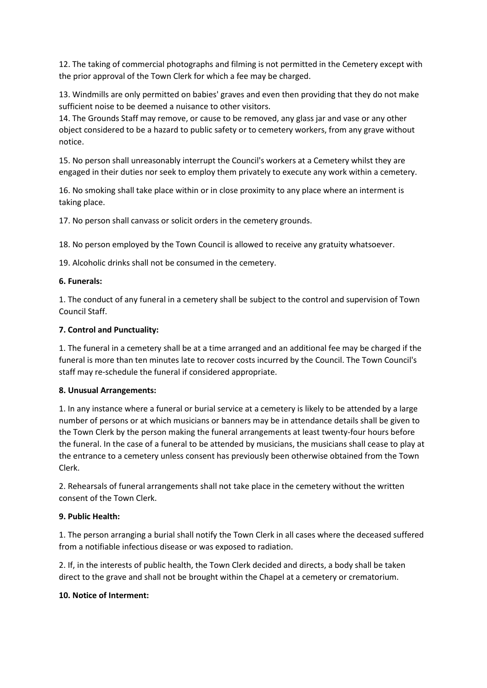12. The taking of commercial photographs and filming is not permitted in the Cemetery except with the prior approval of the Town Clerk for which a fee may be charged.

13. Windmills are only permitted on babies' graves and even then providing that they do not make sufficient noise to be deemed a nuisance to other visitors.

14. The Grounds Staff may remove, or cause to be removed, any glass jar and vase or any other object considered to be a hazard to public safety or to cemetery workers, from any grave without notice.

15. No person shall unreasonably interrupt the Council's workers at a Cemetery whilst they are engaged in their duties nor seek to employ them privately to execute any work within a cemetery.

16. No smoking shall take place within or in close proximity to any place where an interment is taking place.

17. No person shall canvass or solicit orders in the cemetery grounds.

18. No person employed by the Town Council is allowed to receive any gratuity whatsoever.

19. Alcoholic drinks shall not be consumed in the cemetery.

## **6. Funerals:**

1. The conduct of any funeral in a cemetery shall be subject to the control and supervision of Town Council Staff.

## **7. Control and Punctuality:**

1. The funeral in a cemetery shall be at a time arranged and an additional fee may be charged if the funeral is more than ten minutes late to recover costs incurred by the Council. The Town Council's staff may re-schedule the funeral if considered appropriate.

## **8. Unusual Arrangements:**

1. In any instance where a funeral or burial service at a cemetery is likely to be attended by a large number of persons or at which musicians or banners may be in attendance details shall be given to the Town Clerk by the person making the funeral arrangements at least twenty-four hours before the funeral. In the case of a funeral to be attended by musicians, the musicians shall cease to play at the entrance to a cemetery unless consent has previously been otherwise obtained from the Town Clerk.

2. Rehearsals of funeral arrangements shall not take place in the cemetery without the written consent of the Town Clerk.

## **9. Public Health:**

1. The person arranging a burial shall notify the Town Clerk in all cases where the deceased suffered from a notifiable infectious disease or was exposed to radiation.

2. If, in the interests of public health, the Town Clerk decided and directs, a body shall be taken direct to the grave and shall not be brought within the Chapel at a cemetery or crematorium.

## **10. Notice of Interment:**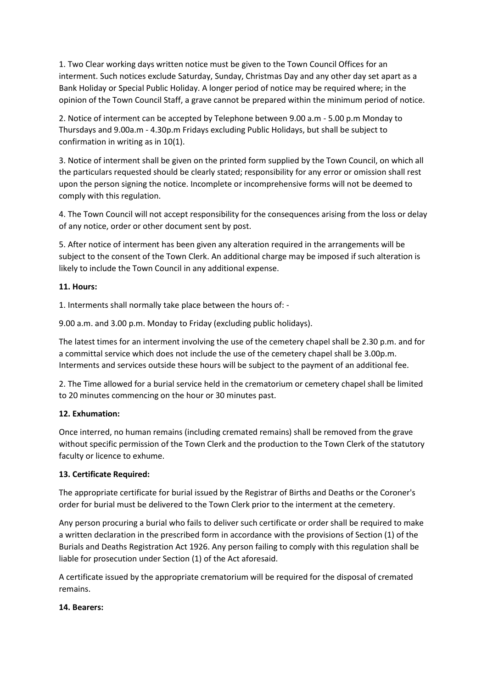1. Two Clear working days written notice must be given to the Town Council Offices for an interment. Such notices exclude Saturday, Sunday, Christmas Day and any other day set apart as a Bank Holiday or Special Public Holiday. A longer period of notice may be required where; in the opinion of the Town Council Staff, a grave cannot be prepared within the minimum period of notice.

2. Notice of interment can be accepted by Telephone between 9.00 a.m - 5.00 p.m Monday to Thursdays and 9.00a.m - 4.30p.m Fridays excluding Public Holidays, but shall be subject to confirmation in writing as in 10(1).

3. Notice of interment shall be given on the printed form supplied by the Town Council, on which all the particulars requested should be clearly stated; responsibility for any error or omission shall rest upon the person signing the notice. Incomplete or incomprehensive forms will not be deemed to comply with this regulation.

4. The Town Council will not accept responsibility for the consequences arising from the loss or delay of any notice, order or other document sent by post.

5. After notice of interment has been given any alteration required in the arrangements will be subject to the consent of the Town Clerk. An additional charge may be imposed if such alteration is likely to include the Town Council in any additional expense.

# **11. Hours:**

1. Interments shall normally take place between the hours of: -

9.00 a.m. and 3.00 p.m. Monday to Friday (excluding public holidays).

The latest times for an interment involving the use of the cemetery chapel shall be 2.30 p.m. and for a committal service which does not include the use of the cemetery chapel shall be 3.00p.m. Interments and services outside these hours will be subject to the payment of an additional fee.

2. The Time allowed for a burial service held in the crematorium or cemetery chapel shall be limited to 20 minutes commencing on the hour or 30 minutes past.

# **12. Exhumation:**

Once interred, no human remains (including cremated remains) shall be removed from the grave without specific permission of the Town Clerk and the production to the Town Clerk of the statutory faculty or licence to exhume.

# **13. Certificate Required:**

The appropriate certificate for burial issued by the Registrar of Births and Deaths or the Coroner's order for burial must be delivered to the Town Clerk prior to the interment at the cemetery.

Any person procuring a burial who fails to deliver such certificate or order shall be required to make a written declaration in the prescribed form in accordance with the provisions of Section (1) of the Burials and Deaths Registration Act 1926. Any person failing to comply with this regulation shall be liable for prosecution under Section (1) of the Act aforesaid.

A certificate issued by the appropriate crematorium will be required for the disposal of cremated remains.

## **14. Bearers:**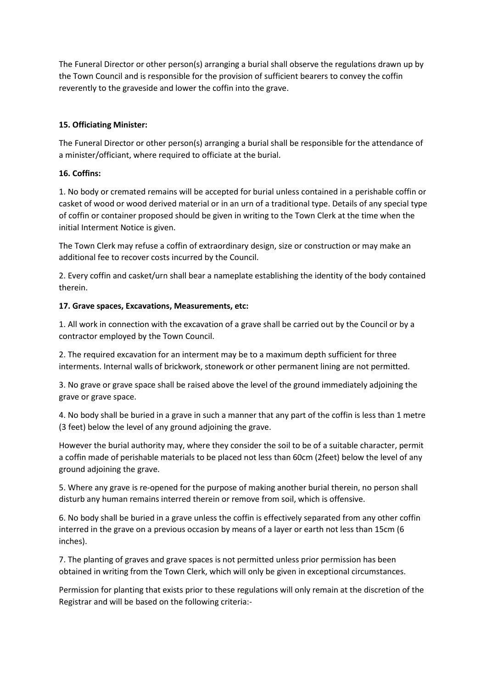The Funeral Director or other person(s) arranging a burial shall observe the regulations drawn up by the Town Council and is responsible for the provision of sufficient bearers to convey the coffin reverently to the graveside and lower the coffin into the grave.

## **15. Officiating Minister:**

The Funeral Director or other person(s) arranging a burial shall be responsible for the attendance of a minister/officiant, where required to officiate at the burial.

## **16. Coffins:**

1. No body or cremated remains will be accepted for burial unless contained in a perishable coffin or casket of wood or wood derived material or in an urn of a traditional type. Details of any special type of coffin or container proposed should be given in writing to the Town Clerk at the time when the initial Interment Notice is given.

The Town Clerk may refuse a coffin of extraordinary design, size or construction or may make an additional fee to recover costs incurred by the Council.

2. Every coffin and casket/urn shall bear a nameplate establishing the identity of the body contained therein.

## **17. Grave spaces, Excavations, Measurements, etc:**

1. All work in connection with the excavation of a grave shall be carried out by the Council or by a contractor employed by the Town Council.

2. The required excavation for an interment may be to a maximum depth sufficient for three interments. Internal walls of brickwork, stonework or other permanent lining are not permitted.

3. No grave or grave space shall be raised above the level of the ground immediately adjoining the grave or grave space.

4. No body shall be buried in a grave in such a manner that any part of the coffin is less than 1 metre (3 feet) below the level of any ground adjoining the grave.

However the burial authority may, where they consider the soil to be of a suitable character, permit a coffin made of perishable materials to be placed not less than 60cm (2feet) below the level of any ground adjoining the grave.

5. Where any grave is re-opened for the purpose of making another burial therein, no person shall disturb any human remains interred therein or remove from soil, which is offensive.

6. No body shall be buried in a grave unless the coffin is effectively separated from any other coffin interred in the grave on a previous occasion by means of a layer or earth not less than 15cm (6 inches).

7. The planting of graves and grave spaces is not permitted unless prior permission has been obtained in writing from the Town Clerk, which will only be given in exceptional circumstances.

Permission for planting that exists prior to these regulations will only remain at the discretion of the Registrar and will be based on the following criteria:-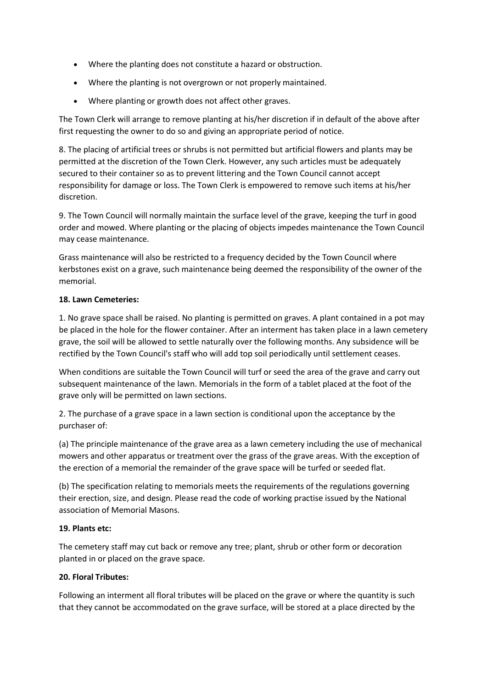- Where the planting does not constitute a hazard or obstruction.
- Where the planting is not overgrown or not properly maintained.
- Where planting or growth does not affect other graves.

The Town Clerk will arrange to remove planting at his/her discretion if in default of the above after first requesting the owner to do so and giving an appropriate period of notice.

8. The placing of artificial trees or shrubs is not permitted but artificial flowers and plants may be permitted at the discretion of the Town Clerk. However, any such articles must be adequately secured to their container so as to prevent littering and the Town Council cannot accept responsibility for damage or loss. The Town Clerk is empowered to remove such items at his/her discretion.

9. The Town Council will normally maintain the surface level of the grave, keeping the turf in good order and mowed. Where planting or the placing of objects impedes maintenance the Town Council may cease maintenance.

Grass maintenance will also be restricted to a frequency decided by the Town Council where kerbstones exist on a grave, such maintenance being deemed the responsibility of the owner of the memorial.

# **18. Lawn Cemeteries:**

1. No grave space shall be raised. No planting is permitted on graves. A plant contained in a pot may be placed in the hole for the flower container. After an interment has taken place in a lawn cemetery grave, the soil will be allowed to settle naturally over the following months. Any subsidence will be rectified by the Town Council's staff who will add top soil periodically until settlement ceases.

When conditions are suitable the Town Council will turf or seed the area of the grave and carry out subsequent maintenance of the lawn. Memorials in the form of a tablet placed at the foot of the grave only will be permitted on lawn sections.

2. The purchase of a grave space in a lawn section is conditional upon the acceptance by the purchaser of:

(a) The principle maintenance of the grave area as a lawn cemetery including the use of mechanical mowers and other apparatus or treatment over the grass of the grave areas. With the exception of the erection of a memorial the remainder of the grave space will be turfed or seeded flat.

(b) The specification relating to memorials meets the requirements of the regulations governing their erection, size, and design. Please read the code of working practise issued by the National association of Memorial Masons.

# **19. Plants etc:**

The cemetery staff may cut back or remove any tree; plant, shrub or other form or decoration planted in or placed on the grave space.

# **20. Floral Tributes:**

Following an interment all floral tributes will be placed on the grave or where the quantity is such that they cannot be accommodated on the grave surface, will be stored at a place directed by the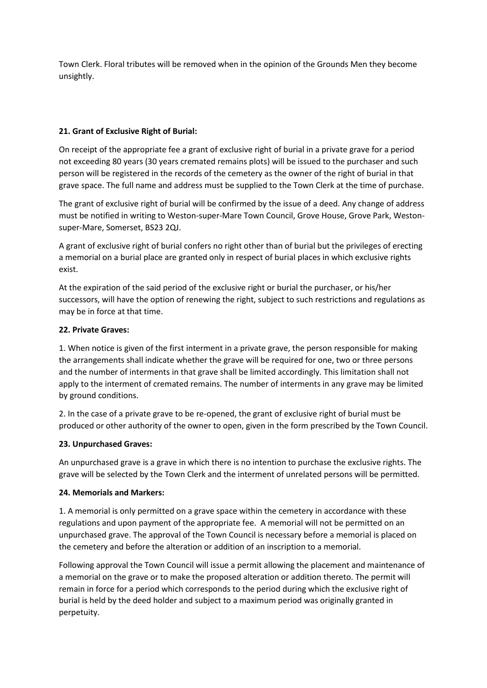Town Clerk. Floral tributes will be removed when in the opinion of the Grounds Men they become unsightly.

# **21. Grant of Exclusive Right of Burial:**

On receipt of the appropriate fee a grant of exclusive right of burial in a private grave for a period not exceeding 80 years (30 years cremated remains plots) will be issued to the purchaser and such person will be registered in the records of the cemetery as the owner of the right of burial in that grave space. The full name and address must be supplied to the Town Clerk at the time of purchase.

The grant of exclusive right of burial will be confirmed by the issue of a deed. Any change of address must be notified in writing to Weston-super-Mare Town Council, Grove House, Grove Park, Westonsuper-Mare, Somerset, BS23 2QJ.

A grant of exclusive right of burial confers no right other than of burial but the privileges of erecting a memorial on a burial place are granted only in respect of burial places in which exclusive rights exist.

At the expiration of the said period of the exclusive right or burial the purchaser, or his/her successors, will have the option of renewing the right, subject to such restrictions and regulations as may be in force at that time.

# **22. Private Graves:**

1. When notice is given of the first interment in a private grave, the person responsible for making the arrangements shall indicate whether the grave will be required for one, two or three persons and the number of interments in that grave shall be limited accordingly. This limitation shall not apply to the interment of cremated remains. The number of interments in any grave may be limited by ground conditions.

2. In the case of a private grave to be re-opened, the grant of exclusive right of burial must be produced or other authority of the owner to open, given in the form prescribed by the Town Council.

# **23. Unpurchased Graves:**

An unpurchased grave is a grave in which there is no intention to purchase the exclusive rights. The grave will be selected by the Town Clerk and the interment of unrelated persons will be permitted.

# **24. Memorials and Markers:**

1. A memorial is only permitted on a grave space within the cemetery in accordance with these regulations and upon payment of the appropriate fee. A memorial will not be permitted on an unpurchased grave. The approval of the Town Council is necessary before a memorial is placed on the cemetery and before the alteration or addition of an inscription to a memorial.

Following approval the Town Council will issue a permit allowing the placement and maintenance of a memorial on the grave or to make the proposed alteration or addition thereto. The permit will remain in force for a period which corresponds to the period during which the exclusive right of burial is held by the deed holder and subject to a maximum period was originally granted in perpetuity.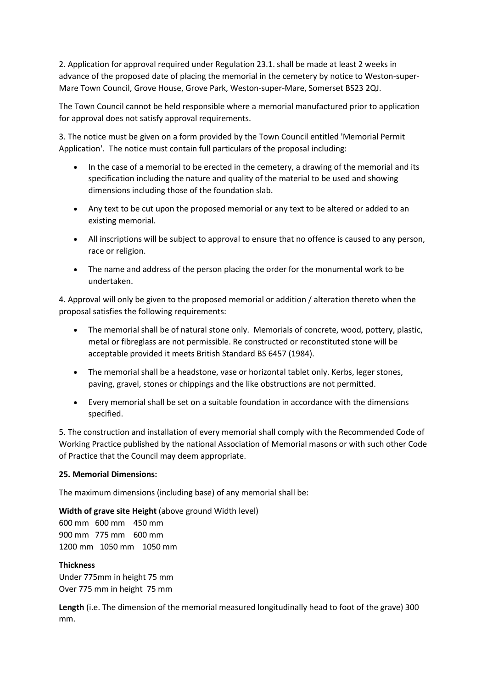2. Application for approval required under Regulation 23.1. shall be made at least 2 weeks in advance of the proposed date of placing the memorial in the cemetery by notice to Weston-super-Mare Town Council, Grove House, Grove Park, Weston-super-Mare, Somerset BS23 2QJ.

The Town Council cannot be held responsible where a memorial manufactured prior to application for approval does not satisfy approval requirements.

3. The notice must be given on a form provided by the Town Council entitled 'Memorial Permit Application'. The notice must contain full particulars of the proposal including:

- In the case of a memorial to be erected in the cemetery, a drawing of the memorial and its specification including the nature and quality of the material to be used and showing dimensions including those of the foundation slab.
- Any text to be cut upon the proposed memorial or any text to be altered or added to an existing memorial.
- All inscriptions will be subject to approval to ensure that no offence is caused to any person, race or religion.
- The name and address of the person placing the order for the monumental work to be undertaken.

4. Approval will only be given to the proposed memorial or addition / alteration thereto when the proposal satisfies the following requirements:

- The memorial shall be of natural stone only. Memorials of concrete, wood, pottery, plastic, metal or fibreglass are not permissible. Re constructed or reconstituted stone will be acceptable provided it meets British Standard BS 6457 (1984).
- The memorial shall be a headstone, vase or horizontal tablet only. Kerbs, leger stones, paving, gravel, stones or chippings and the like obstructions are not permitted.
- Every memorial shall be set on a suitable foundation in accordance with the dimensions specified.

5. The construction and installation of every memorial shall comply with the Recommended Code of Working Practice published by the national Association of Memorial masons or with such other Code of Practice that the Council may deem appropriate.

# **25. Memorial Dimensions:**

The maximum dimensions (including base) of any memorial shall be:

**Width of grave site Height** (above ground Width level)

600 mm 600 mm 450 mm 900 mm 775 mm 600 mm 1200 mm 1050 mm 1050 mm

## **Thickness**

Under 775mm in height 75 mm Over 775 mm in height 75 mm

**Length** (i.e. The dimension of the memorial measured longitudinally head to foot of the grave) 300 mm.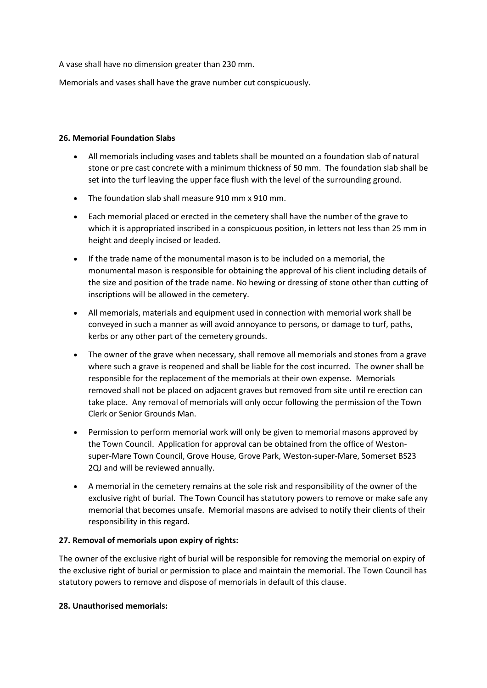A vase shall have no dimension greater than 230 mm.

Memorials and vases shall have the grave number cut conspicuously.

### **26. Memorial Foundation Slabs**

- All memorials including vases and tablets shall be mounted on a foundation slab of natural stone or pre cast concrete with a minimum thickness of 50 mm. The foundation slab shall be set into the turf leaving the upper face flush with the level of the surrounding ground.
- The foundation slab shall measure 910 mm x 910 mm.
- Each memorial placed or erected in the cemetery shall have the number of the grave to which it is appropriated inscribed in a conspicuous position, in letters not less than 25 mm in height and deeply incised or leaded.
- If the trade name of the monumental mason is to be included on a memorial, the monumental mason is responsible for obtaining the approval of his client including details of the size and position of the trade name. No hewing or dressing of stone other than cutting of inscriptions will be allowed in the cemetery.
- All memorials, materials and equipment used in connection with memorial work shall be conveyed in such a manner as will avoid annoyance to persons, or damage to turf, paths, kerbs or any other part of the cemetery grounds.
- The owner of the grave when necessary, shall remove all memorials and stones from a grave where such a grave is reopened and shall be liable for the cost incurred. The owner shall be responsible for the replacement of the memorials at their own expense. Memorials removed shall not be placed on adjacent graves but removed from site until re erection can take place. Any removal of memorials will only occur following the permission of the Town Clerk or Senior Grounds Man.
- Permission to perform memorial work will only be given to memorial masons approved by the Town Council. Application for approval can be obtained from the office of Westonsuper-Mare Town Council, Grove House, Grove Park, Weston-super-Mare, Somerset BS23 2QJ and will be reviewed annually.
- A memorial in the cemetery remains at the sole risk and responsibility of the owner of the exclusive right of burial. The Town Council has statutory powers to remove or make safe any memorial that becomes unsafe. Memorial masons are advised to notify their clients of their responsibility in this regard.

## **27. Removal of memorials upon expiry of rights:**

The owner of the exclusive right of burial will be responsible for removing the memorial on expiry of the exclusive right of burial or permission to place and maintain the memorial. The Town Council has statutory powers to remove and dispose of memorials in default of this clause.

## **28. Unauthorised memorials:**